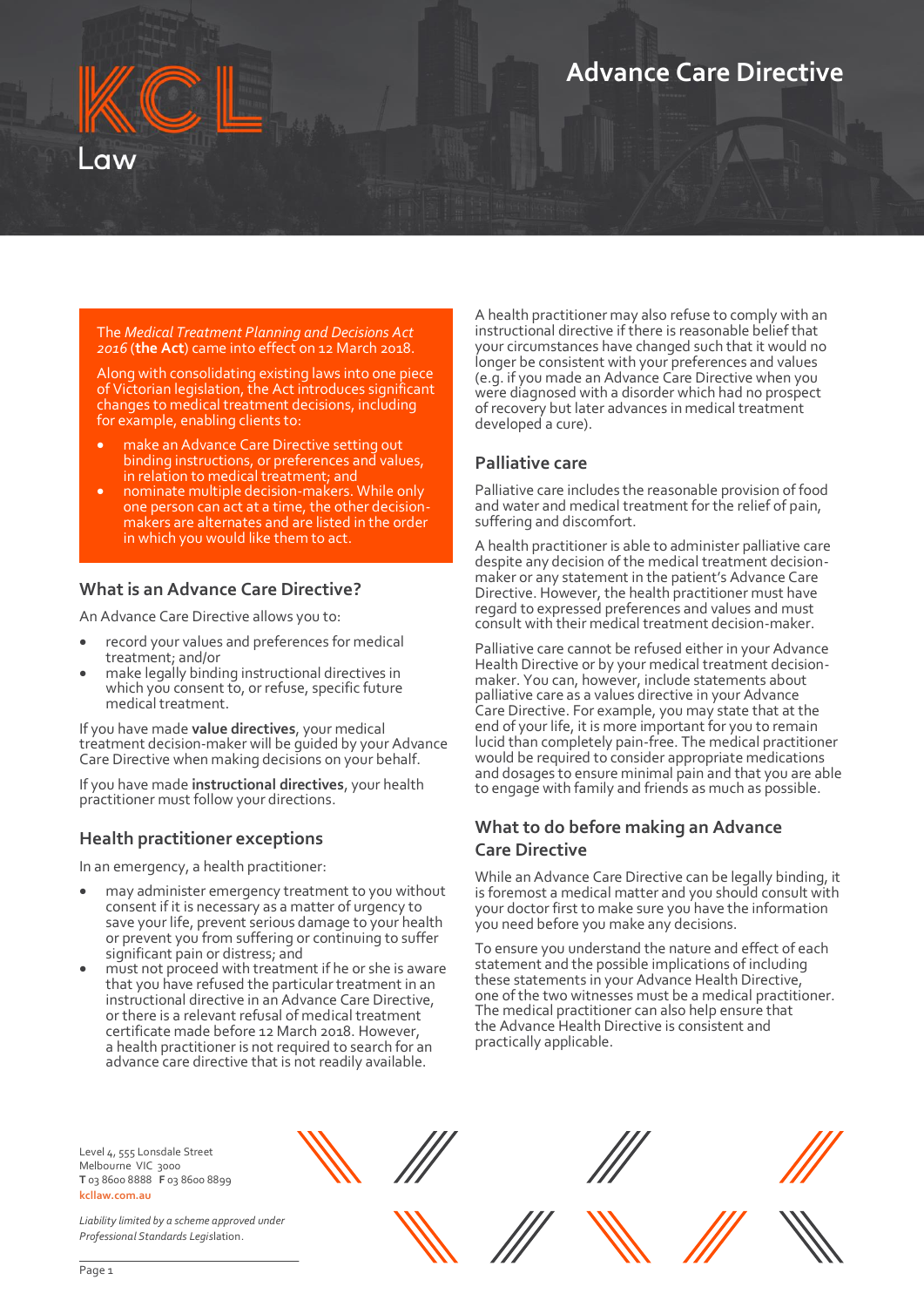# **Advance Care Directive**



Along with consolidating existing laws into one piece of Victorian legislation, the Act introduces significant changes to medical treatment decisions, including for example, enabling clients to:

- make an Advance Care Directive setting out binding instructions, or preferences and values, in relation to medical treatment; and
- nominate multiple decision-makers. While only one person can act at a time, the other decisionmakers are alternates and are listed in the order in which you would like them to act.

#### **What is an Advance Care Directive?**

An Advance Care Directive allows you to:

- record your values and preferences for medical treatment; and/or
- make legally binding instructional directives in which you consent to, or refuse, specific future medical treatment.

If you have made **value directives**, your medical treatment decision-maker will be guided by your Advance Care Directive when making decisions on your behalf.

If you have made **instructional directives**, your health practitioner must follow your directions.

#### **Health practitioner exceptions**

In an emergency, a health practitioner:

- may administer emergency treatment to you without consent if it is necessary as a matter of urgency to save your life, prevent serious damage to your health or prevent you from suffering or continuing to suffer significant pain or distress; and
- must not proceed with treatment if he or she is aware that you have refused the particular treatment in an instructional directive in an Advance Care Directive, or there is a relevant refusal of medical treatment certificate made before 12 March 2018. However, a health practitioner is not required to search for an advance care directive that is not readily available.

A health practitioner may also refuse to comply with an instructional directive if there is reasonable belief that your circumstances have changed such that it would no longer be consistent with your preferences and values (e.g. if you made an Advance Care Directive when you were diagnosed with a disorder which had no prospect of recovery but later advances in medical treatment developed a cure).

#### **Palliative care**

Palliative care includes the reasonable provision of food and water and medical treatment for the relief of pain, suffering and discomfort.

A health practitioner is able to administer palliative care despite any decision of the medical treatment decisionmaker or any statement in the patient's Advance Care Directive. However, the health practitioner must have regard to expressed preferences and values and must consult with their medical treatment decision-maker.

Palliative care cannot be refused either in your Advance Health Directive or by your medical treatment decisionmaker. You can, however, include statements about palliative care as a values directive in your Advance Care Directive. For example, you may state that at the end of your life, it is more important for you to remain lucid than completely pain-free. The medical practitioner would be required to consider appropriate medications and dosages to ensure minimal pain and that you are able to engage with family and friends as much as possible.

## **What to do before making an Advance Care Directive**

While an Advance Care Directive can be legally binding, it is foremost a medical matter and you should consult with your doctor first to make sure you have the information you need before you make any decisions.

To ensure you understand the nature and effect of each statement and the possible implications of including these statements in your Advance Health Directive, one of the two witnesses must be a medical practitioner. The medical practitioner can also help ensure that the Advance Health Directive is consistent and practically applicable.

Level 4, 555 Lonsdale Street Melbourne VIC 3000 **T** 03 8600 8888 **F** 03 8600 8899 **kcllaw.com.au**

*Liability limited by a scheme approved under Professional Standards Legis*lation.